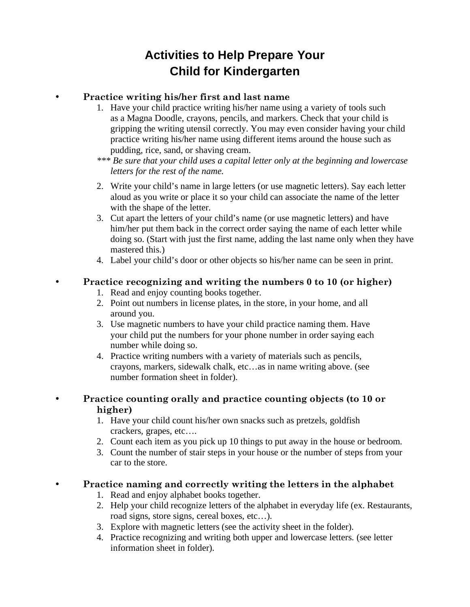# **Activities to Help Prepare Your Child for Kindergarten**

### • **Practice writing his/her first and last name**

- 1. Have your child practice writing his/her name using a variety of tools such as a Magna Doodle, crayons, pencils, and markers. Check that your child is gripping the writing utensil correctly. You may even consider having your child practice writing his/her name using different items around the house such as pudding, rice, sand, or shaving cream.
- *\*\*\* Be sure that your child uses a capital letter only at the beginning and lowercase letters for the rest of the name.*
- 2. Write your child's name in large letters (or use magnetic letters). Say each letter aloud as you write or place it so your child can associate the name of the letter with the shape of the letter.
- 3. Cut apart the letters of your child's name (or use magnetic letters) and have him/her put them back in the correct order saying the name of each letter while doing so. (Start with just the first name, adding the last name only when they have mastered this.)
- 4. Label your child's door or other objects so his/her name can be seen in print.

#### • **Practice recognizing and writing the numbers 0 to 10 (or higher)**

- 1. Read and enjoy counting books together.
- 2. Point out numbers in license plates, in the store, in your home, and all around you.
- 3. Use magnetic numbers to have your child practice naming them. Have your child put the numbers for your phone number in order saying each number while doing so.
- 4. Practice writing numbers with a variety of materials such as pencils, crayons, markers, sidewalk chalk, etc…as in name writing above. (see number formation sheet in folder).

#### • **Practice counting orally and practice counting objects (to 10 or higher)**

- 1. Have your child count his/her own snacks such as pretzels, goldfish crackers, grapes, etc….
- 2. Count each item as you pick up 10 things to put away in the house or bedroom.
- 3. Count the number of stair steps in your house or the number of steps from your car to the store.

#### • **Practice naming and correctly writing the letters in the alphabet**

- 1. Read and enjoy alphabet books together.
- 2. Help your child recognize letters of the alphabet in everyday life (ex. Restaurants, road signs, store signs, cereal boxes, etc…).
- 3. Explore with magnetic letters (see the activity sheet in the folder).
- 4. Practice recognizing and writing both upper and lowercase letters. (see letter information sheet in folder).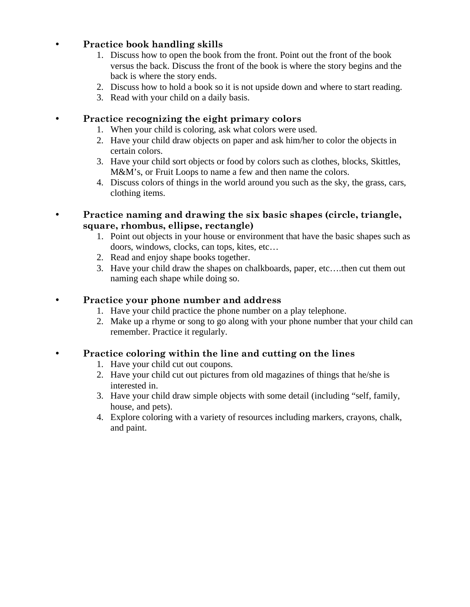#### • **Practice book handling skills**

- 1. Discuss how to open the book from the front. Point out the front of the book versus the back. Discuss the front of the book is where the story begins and the back is where the story ends.
- 2. Discuss how to hold a book so it is not upside down and where to start reading.
- 3. Read with your child on a daily basis.

#### • **Practice recognizing the eight primary colors**

- 1. When your child is coloring, ask what colors were used.
- 2. Have your child draw objects on paper and ask him/her to color the objects in certain colors.
- 3. Have your child sort objects or food by colors such as clothes, blocks, Skittles, M&M's, or Fruit Loops to name a few and then name the colors.
- 4. Discuss colors of things in the world around you such as the sky, the grass, cars, clothing items.
- **Practice naming and drawing the six basic shapes (circle, triangle, square, rhombus, ellipse, rectangle)** 
	- 1. Point out objects in your house or environment that have the basic shapes such as doors, windows, clocks, can tops, kites, etc…
	- 2. Read and enjoy shape books together.
	- 3. Have your child draw the shapes on chalkboards, paper, etc….then cut them out naming each shape while doing so.

#### • **Practice your phone number and address**

- 1. Have your child practice the phone number on a play telephone.
- 2. Make up a rhyme or song to go along with your phone number that your child can remember. Practice it regularly.

#### • **Practice coloring within the line and cutting on the lines**

- 1. Have your child cut out coupons.
- 2. Have your child cut out pictures from old magazines of things that he/she is interested in.
- 3. Have your child draw simple objects with some detail (including "self, family, house, and pets).
- 4. Explore coloring with a variety of resources including markers, crayons, chalk, and paint.